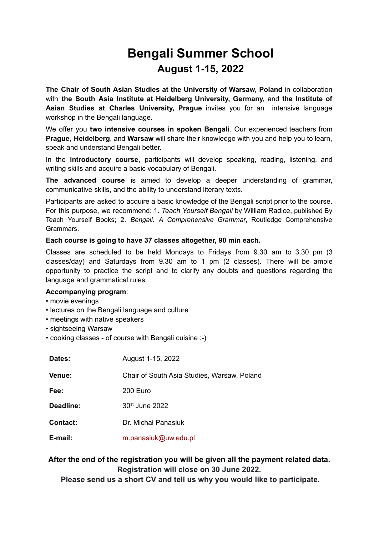## **Bengali Summer School August 1-15, 2022**

**The Chair of South Asian Studies at the University of Warsaw, Poland** in collaboration with **the South Asia Institute at Heidelberg University, Germany,** and **the Institute of Asian Studies at Charles University, Prague** invites you for an intensive language workshop in the Bengali language.

We offer you **two intensive courses in spoken Bengali**. Our experienced teachers from **Prague**, **Heidelberg**, and **Warsaw** will share their knowledge with you and help you to learn, speak and understand Bengali better.

In the **introductory course,** participants will develop speaking, reading, listening, and writing skills and acquire a basic vocabulary of Bengali.

**The advanced course** is aimed to develop a deeper understanding of grammar, communicative skills, and the ability to understand literary texts.

Participants are asked to acquire a basic knowledge of the Bengali script prior to the course. For this purpose, we recommend: 1. *Teach Yourself Bengali* by William Radice, published By Teach Yourself Books; 2. *Bengali. A Comprehensive Grammar*, Routledge Comprehensive Grammars.

## **Each course is going to have 37 classes altogether, 90 min each.**

Classes are scheduled to be held Mondays to Fridays from 9.30 am to 3.30 pm (3 classes/day) and Saturdays from 9.30 am to 1 pm (2 classes). There will be ample opportunity to practice the script and to clarify any doubts and questions regarding the language and grammatical rules.

## **Accompanying program**:

- movie evenings
- lectures on the Bengali language and culture
- meetings with native speakers
- sightseeing Warsaw
- cooking classes of course with Bengali cuisine :-)

| Dates:          | August 1-15, 2022                           |
|-----------------|---------------------------------------------|
| <b>Venue:</b>   | Chair of South Asia Studies, Warsaw, Poland |
| Fee:            | 200 Euro                                    |
| Deadline:       | 30 <sup>st</sup> June 2022                  |
| <b>Contact:</b> | Dr. Michał Panasiuk                         |
| E-mail:         | m.panasiuk@uw.edu.pl                        |

## **After the end of the registration you will be given all the payment related data. Registration will close on 30 June 2022.**

**Please send us a short CV and tell us why you would like to participate.**